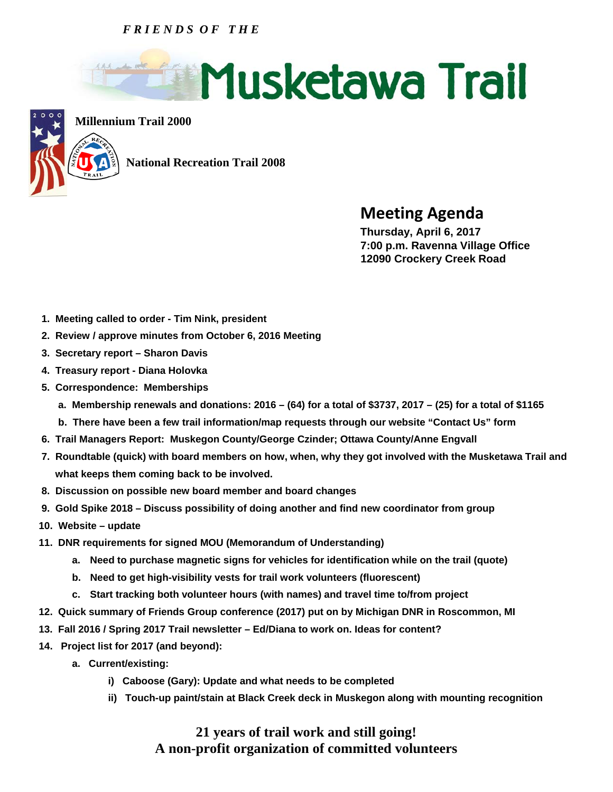## *F R I E N D S O F T H E*





**Millennium Trail 2000**

 **National Recreation Trail 2008** 

**Meeting Agenda Thursday, April 6, 2017** 

 **7:00 p.m. Ravenna Village Office 12090 Crockery Creek Road** 

- **1. Meeting called to order Tim Nink, president**
- **2. Review / approve minutes from October 6, 2016 Meeting**
- **3. Secretary report Sharon Davis**
- **4. Treasury report Diana Holovka**
- **5. Correspondence: Memberships** 
	- **a. Membership renewals and donations: 2016 (64) for a total of \$3737, 2017 (25) for a total of \$1165**
	- **b. There have been a few trail information/map requests through our website "Contact Us" form**
- **6. Trail Managers Report: Muskegon County/George Czinder; Ottawa County/Anne Engvall**
- **7. Roundtable (quick) with board members on how, when, why they got involved with the Musketawa Trail and what keeps them coming back to be involved.**
- **8. Discussion on possible new board member and board changes**
- **9. Gold Spike 2018 Discuss possibility of doing another and find new coordinator from group**
- **10. Website update**
- **11. DNR requirements for signed MOU (Memorandum of Understanding)** 
	- **a. Need to purchase magnetic signs for vehicles for identification while on the trail (quote)**
	- **b. Need to get high-visibility vests for trail work volunteers (fluorescent)**
	- **c. Start tracking both volunteer hours (with names) and travel time to/from project**
- **12. Quick summary of Friends Group conference (2017) put on by Michigan DNR in Roscommon, MI**
- **13. Fall 2016 / Spring 2017 Trail newsletter Ed/Diana to work on. Ideas for content?**
- **14. Project list for 2017 (and beyond):** 
	- **a. Current/existing:** 
		- **i) Caboose (Gary): Update and what needs to be completed**
		- **ii) Touch-up paint/stain at Black Creek deck in Muskegon along with mounting recognition**

## **21 years of trail work and still going! A non-profit organization of committed volunteers**